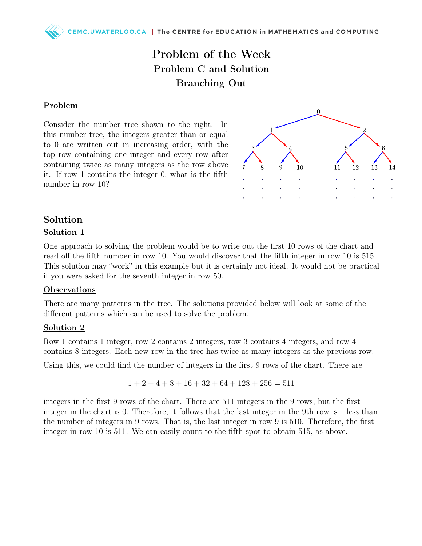## Problem of the Week Problem C and Solution Branching Out

#### Problem

Consider the number tree shown to the right. In this number tree, the integers greater than or equal to 0 are written out in increasing order, with the top row containing one integer and every row after containing twice as many integers as the row above it. If row 1 contains the integer 0, what is the fifth number in row 10?



# Solution

#### Solution 1

One approach to solving the problem would be to write out the first 10 rows of the chart and read off the fifth number in row 10. You would discover that the fifth integer in row 10 is 515. This solution may "work" in this example but it is certainly not ideal. It would not be practical if you were asked for the seventh integer in row 50.

#### **Observations**

There are many patterns in the tree. The solutions provided below will look at some of the different patterns which can be used to solve the problem.

#### Solution 2

Row 1 contains 1 integer, row 2 contains 2 integers, row 3 contains 4 integers, and row 4 contains 8 integers. Each new row in the tree has twice as many integers as the previous row.

Using this, we could find the number of integers in the first 9 rows of the chart. There are

$$
1 + 2 + 4 + 8 + 16 + 32 + 64 + 128 + 256 = 511
$$

integers in the first 9 rows of the chart. There are 511 integers in the 9 rows, but the first integer in the chart is 0. Therefore, it follows that the last integer in the 9th row is 1 less than the number of integers in 9 rows. That is, the last integer in row 9 is 510. Therefore, the first integer in row 10 is 511. We can easily count to the fifth spot to obtain 515, as above.